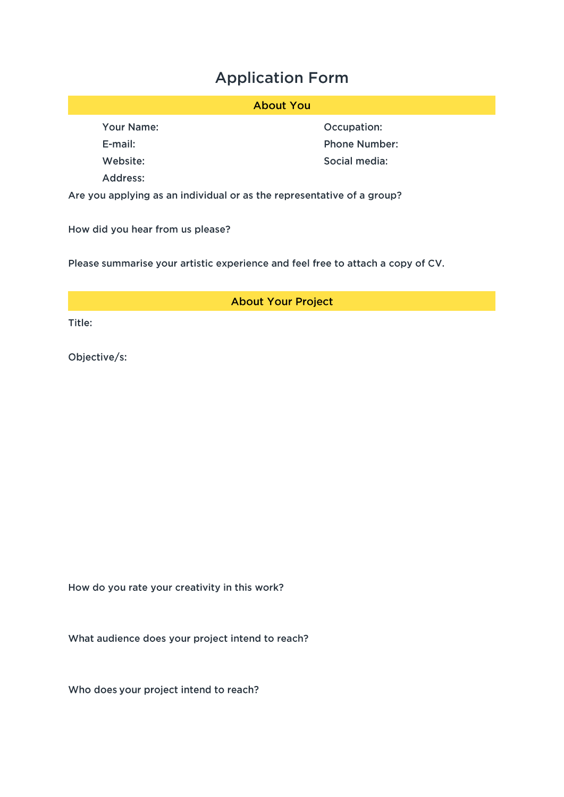## **Application Form**

## **About You**

Your Name:

E-mail:

Website:

Address:

Occupation: **Phone Number:** Social media:

Are you applying as an individual or as the representative of a group?

How did you hear from us please?

Please summarise your artistic experience and feel free to attach a copy of CV.

**About Your Project** 

Title:

Objective/s:

How do you rate your creativity in this work?

What audience does your project intend to reach?

Who does your project intend to reach?